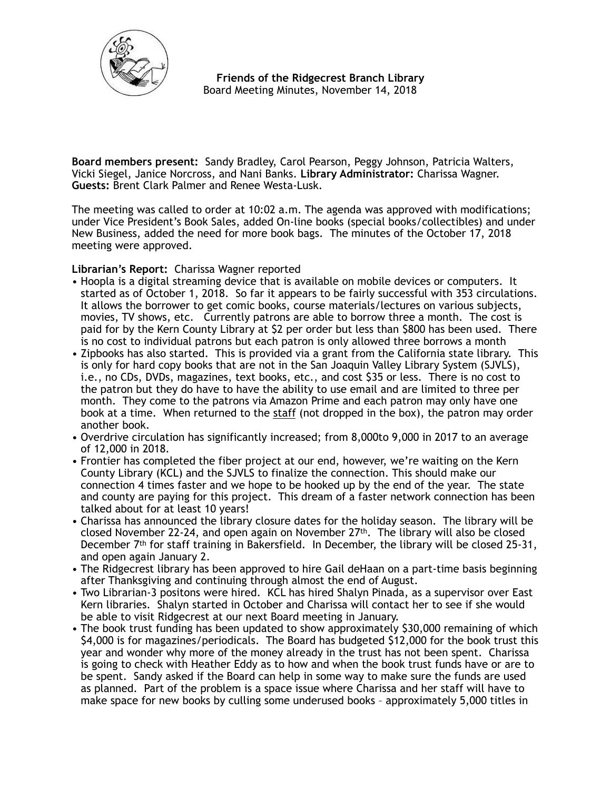

 **Friends of the Ridgecrest Branch Library**  Board Meeting Minutes, November 14, 2018

**Board members present:** Sandy Bradley, Carol Pearson, Peggy Johnson, Patricia Walters, Vicki Siegel, Janice Norcross, and Nani Banks. **Library Administrator:** Charissa Wagner. **Guests:** Brent Clark Palmer and Renee Westa-Lusk.

The meeting was called to order at 10:02 a.m. The agenda was approved with modifications; under Vice President's Book Sales, added On-line books (special books/collectibles) and under New Business, added the need for more book bags. The minutes of the October 17, 2018 meeting were approved.

**Librarian's Report:** Charissa Wagner reported

- Hoopla is a digital streaming device that is available on mobile devices or computers. It started as of October 1, 2018. So far it appears to be fairly successful with 353 circulations. It allows the borrower to get comic books, course materials/lectures on various subjects, movies, TV shows, etc. Currently patrons are able to borrow three a month. The cost is paid for by the Kern County Library at \$2 per order but less than \$800 has been used. There is no cost to individual patrons but each patron is only allowed three borrows a month
- Zipbooks has also started. This is provided via a grant from the California state library. This is only for hard copy books that are not in the San Joaquin Valley Library System (SJVLS), i.e., no CDs, DVDs, magazines, text books, etc., and cost \$35 or less. There is no cost to the patron but they do have to have the ability to use email and are limited to three per month. They come to the patrons via Amazon Prime and each patron may only have one book at a time. When returned to the staff (not dropped in the box), the patron may order another book.
- Overdrive circulation has significantly increased; from 8,000to 9,000 in 2017 to an average of 12,000 in 2018.
- Frontier has completed the fiber project at our end, however, we're waiting on the Kern County Library (KCL) and the SJVLS to finalize the connection. This should make our connection 4 times faster and we hope to be hooked up by the end of the year. The state and county are paying for this project. This dream of a faster network connection has been talked about for at least 10 years!
- Charissa has announced the library closure dates for the holiday season. The library will be closed November 22-24, and open again on November  $27<sup>th</sup>$ . The library will also be closed December 7th for staff training in Bakersfield. In December, the library will be closed 25-31, and open again January 2.
- The Ridgecrest library has been approved to hire Gail deHaan on a part-time basis beginning after Thanksgiving and continuing through almost the end of August.
- Two Librarian-3 positons were hired. KCL has hired Shalyn Pinada, as a supervisor over East Kern libraries. Shalyn started in October and Charissa will contact her to see if she would be able to visit Ridgecrest at our next Board meeting in January.
- The book trust funding has been updated to show approximately \$30,000 remaining of which \$4,000 is for magazines/periodicals. The Board has budgeted \$12,000 for the book trust this year and wonder why more of the money already in the trust has not been spent. Charissa is going to check with Heather Eddy as to how and when the book trust funds have or are to be spent. Sandy asked if the Board can help in some way to make sure the funds are used as planned. Part of the problem is a space issue where Charissa and her staff will have to make space for new books by culling some underused books – approximately 5,000 titles in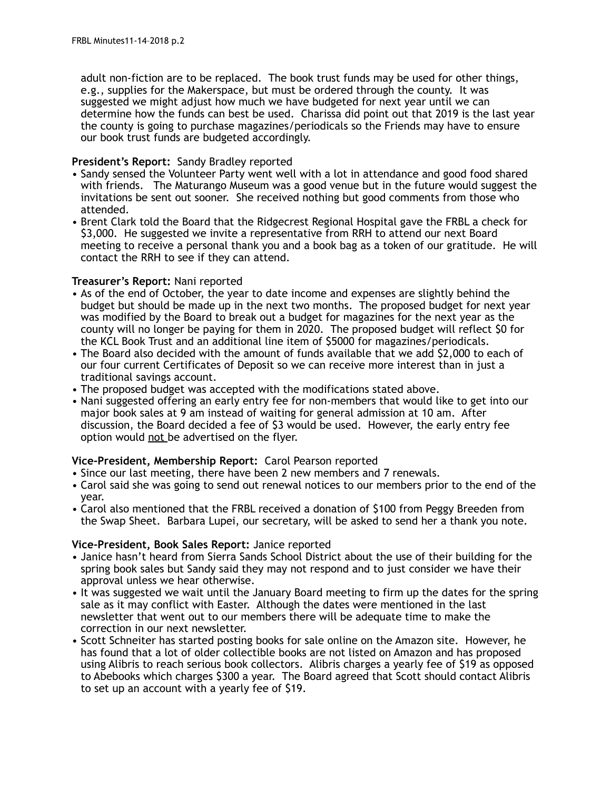adult non-fiction are to be replaced. The book trust funds may be used for other things, e.g., supplies for the Makerspace, but must be ordered through the county. It was suggested we might adjust how much we have budgeted for next year until we can determine how the funds can best be used. Charissa did point out that 2019 is the last year the county is going to purchase magazines/periodicals so the Friends may have to ensure our book trust funds are budgeted accordingly.

# **President's Report:** Sandy Bradley reported

- Sandy sensed the Volunteer Party went well with a lot in attendance and good food shared with friends. The Maturango Museum was a good venue but in the future would suggest the invitations be sent out sooner. She received nothing but good comments from those who attended.
- Brent Clark told the Board that the Ridgecrest Regional Hospital gave the FRBL a check for \$3,000. He suggested we invite a representative from RRH to attend our next Board meeting to receive a personal thank you and a book bag as a token of our gratitude. He will contact the RRH to see if they can attend.

### **Treasurer's Report:** Nani reported

- As of the end of October, the year to date income and expenses are slightly behind the budget but should be made up in the next two months. The proposed budget for next year was modified by the Board to break out a budget for magazines for the next year as the county will no longer be paying for them in 2020. The proposed budget will reflect \$0 for the KCL Book Trust and an additional line item of \$5000 for magazines/periodicals.
- The Board also decided with the amount of funds available that we add \$2,000 to each of our four current Certificates of Deposit so we can receive more interest than in just a traditional savings account.
- The proposed budget was accepted with the modifications stated above.
- Nani suggested offering an early entry fee for non-members that would like to get into our major book sales at 9 am instead of waiting for general admission at 10 am. After discussion, the Board decided a fee of \$3 would be used. However, the early entry fee option would not be advertised on the flyer.

# **Vice-President, Membership Report:** Carol Pearson reported

- Since our last meeting, there have been 2 new members and 7 renewals.
- Carol said she was going to send out renewal notices to our members prior to the end of the year.
- Carol also mentioned that the FRBL received a donation of \$100 from Peggy Breeden from the Swap Sheet. Barbara Lupei, our secretary, will be asked to send her a thank you note.

# **Vice-President, Book Sales Report:** Janice reported

- Janice hasn't heard from Sierra Sands School District about the use of their building for the spring book sales but Sandy said they may not respond and to just consider we have their approval unless we hear otherwise.
- It was suggested we wait until the January Board meeting to firm up the dates for the spring sale as it may conflict with Easter. Although the dates were mentioned in the last newsletter that went out to our members there will be adequate time to make the correction in our next newsletter.
- Scott Schneiter has started posting books for sale online on the Amazon site. However, he has found that a lot of older collectible books are not listed on Amazon and has proposed using Alibris to reach serious book collectors. Alibris charges a yearly fee of \$19 as opposed to Abebooks which charges \$300 a year. The Board agreed that Scott should contact Alibris to set up an account with a yearly fee of \$19.